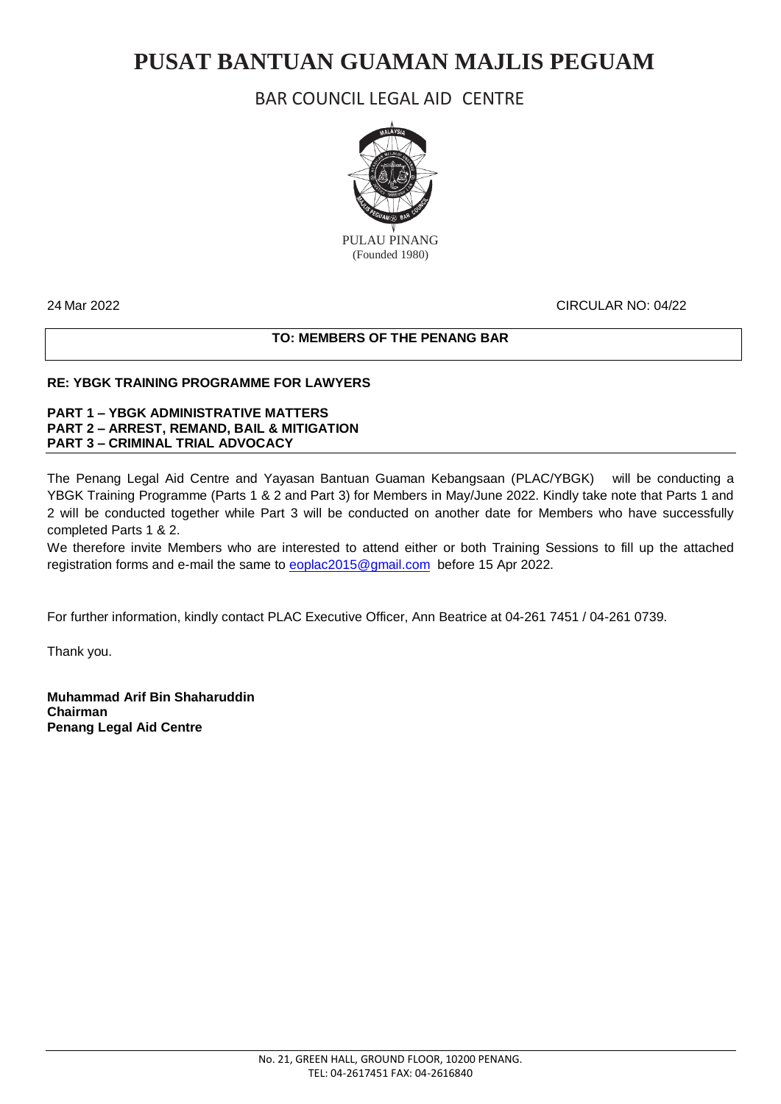# **PUSAT BANTUAN GUAMAN MAJLIS PEGUAM**

### BAR COUNCIL LEGAL AID CENTRE



(Founded 1980)

#### 24 Mar 2022 CIRCULAR NO: 04/22

#### **TO: MEMBERS OF THE PENANG BAR**

#### **RE: YBGK TRAINING PROGRAMME FOR LAWYERS**

#### **PART 1 – YBGK ADMINISTRATIVE MATTERS PART 2 – ARREST, REMAND, BAIL & MITIGATION PART 3 – CRIMINAL TRIAL ADVOCACY**

The Penang Legal Aid Centre and Yayasan Bantuan Guaman Kebangsaan (PLAC/YBGK) will be conducting a YBGK Training Programme (Parts 1 & 2 and Part 3) for Members in May/June 2022. Kindly take note that Parts 1 and 2 will be conducted together while Part 3 will be conducted on another date for Members who have successfully completed Parts 1 & 2.

We therefore invite Members who are interested to attend either or both Training Sessions to fill up the attached registration forms and e-mail the same to **eoplac2015@gmail.com** before 15 Apr 2022.

For further information, kindly contact PLAC Executive Officer, Ann Beatrice at 04-261 7451 / 04-261 0739.

Thank you.

**Muhammad Arif Bin Shaharuddin Chairman Penang Legal Aid Centre**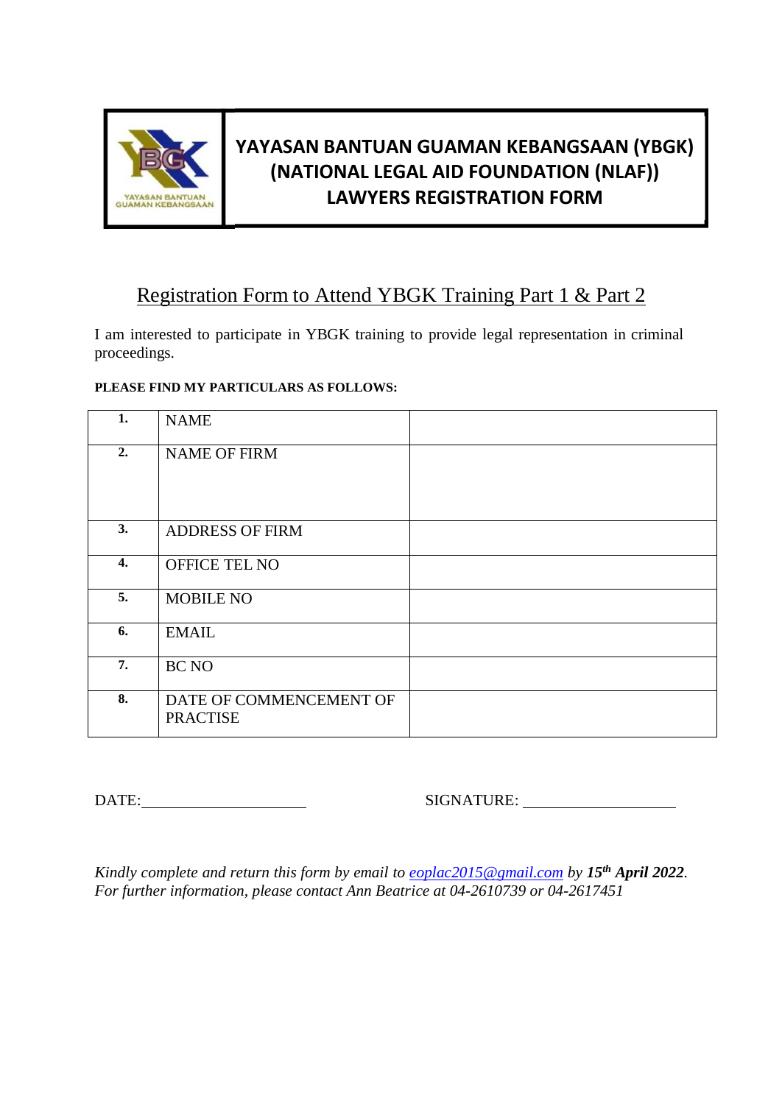

# **YAYASAN BANTUAN GUAMAN KEBANGSAAN (YBGK) (NATIONAL LEGAL AID FOUNDATION (NLAF)) LAWYERS REGISTRATION FORM**

### Registration Form to Attend YBGK Training Part 1 & Part 2

I am interested to participate in YBGK training to provide legal representation in criminal proceedings.

### **PLEASE FIND MY PARTICULARS AS FOLLOWS:**

| 1. | <b>NAME</b>                                |  |
|----|--------------------------------------------|--|
| 2. | <b>NAME OF FIRM</b>                        |  |
| 3. | <b>ADDRESS OF FIRM</b>                     |  |
| 4. | OFFICE TEL NO                              |  |
| 5. | <b>MOBILE NO</b>                           |  |
| 6. | <b>EMAIL</b>                               |  |
| 7. | BC NO                                      |  |
| 8. | DATE OF COMMENCEMENT OF<br><b>PRACTISE</b> |  |

DATE: SIGNATURE:

*Kindly complete and return this form by email to [eoplac2015@gmail.com](mailto:sumitra@kllac.com) by 15th April 2022. For further information, please contact Ann Beatrice at 04-2610739 or 04-2617451*